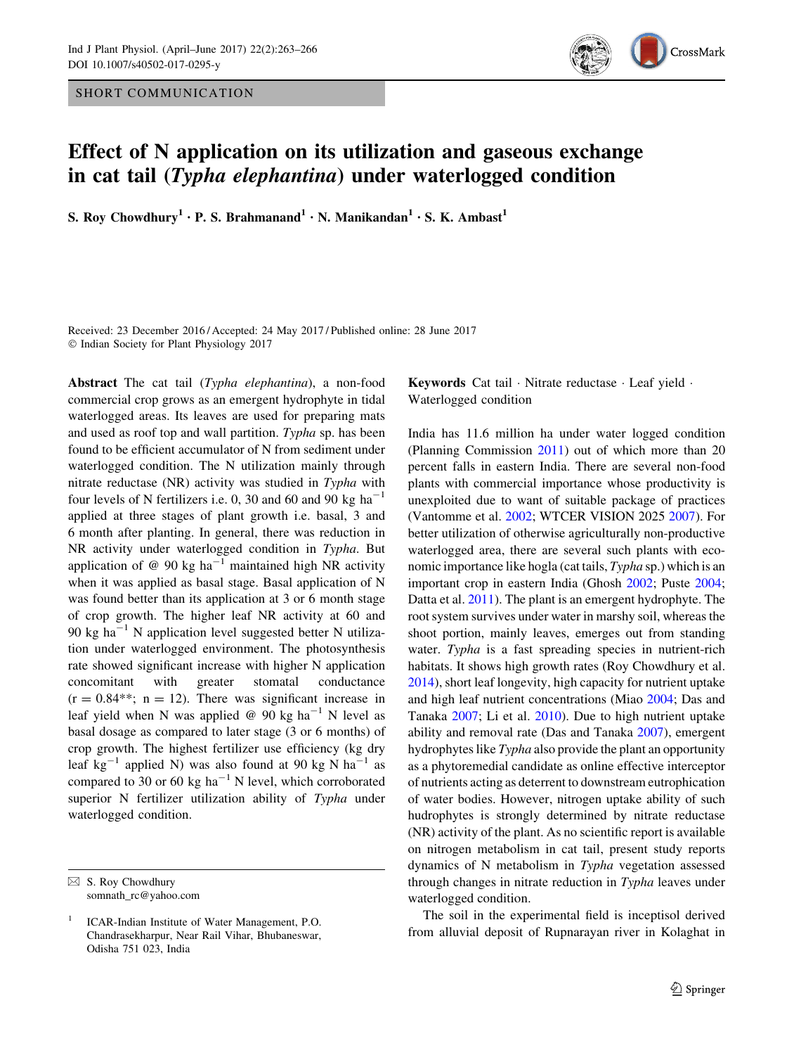SHORT COMMUNICATION



## Effect of N application on its utilization and gaseous exchange in cat tail (Typha elephantina) under waterlogged condition

S. Roy Chowdhury<sup>1</sup> · P. S. Brahmanand<sup>1</sup> · N. Manikandan<sup>1</sup> · S. K. Ambast<sup>1</sup>

Received: 23 December 2016 / Accepted: 24 May 2017 / Published online: 28 June 2017 - Indian Society for Plant Physiology 2017

Abstract The cat tail (Typha elephantina), a non-food commercial crop grows as an emergent hydrophyte in tidal waterlogged areas. Its leaves are used for preparing mats and used as roof top and wall partition. Typha sp. has been found to be efficient accumulator of N from sediment under waterlogged condition. The N utilization mainly through nitrate reductase (NR) activity was studied in Typha with four levels of N fertilizers i.e. 0, 30 and 60 and 90 kg  $ha^{-1}$ applied at three stages of plant growth i.e. basal, 3 and 6 month after planting. In general, there was reduction in NR activity under waterlogged condition in Typha. But application of @ 90 kg ha<sup>-1</sup> maintained high NR activity when it was applied as basal stage. Basal application of N was found better than its application at 3 or 6 month stage of crop growth. The higher leaf NR activity at 60 and 90 kg ha<sup> $-1$ </sup> N application level suggested better N utilization under waterlogged environment. The photosynthesis rate showed significant increase with higher N application concomitant with greater stomatal conductance  $(r = 0.84$ <sup>\*\*</sup>; n = 12). There was significant increase in leaf yield when N was applied @ 90 kg ha<sup>-1</sup> N level as basal dosage as compared to later stage (3 or 6 months) of crop growth. The highest fertilizer use efficiency (kg dry leaf kg<sup>-1</sup> applied N) was also found at 90 kg N ha<sup>-1</sup> as compared to 30 or 60 kg ha<sup>-1</sup> N level, which corroborated superior N fertilizer utilization ability of Typha under waterlogged condition.

Keywords Cat tail - Nitrate reductase - Leaf yield - Waterlogged condition

India has 11.6 million ha under water logged condition (Planning Commission [2011\)](#page-3-0) out of which more than 20 percent falls in eastern India. There are several non-food plants with commercial importance whose productivity is unexploited due to want of suitable package of practices (Vantomme et al. [2002](#page-3-0); WTCER VISION 2025 [2007\)](#page-3-0). For better utilization of otherwise agriculturally non-productive waterlogged area, there are several such plants with economic importance like hogla (cat tails, Typha sp.) which is an important crop in eastern India (Ghosh [2002](#page-3-0); Puste [2004](#page-3-0); Datta et al. [2011](#page-3-0)). The plant is an emergent hydrophyte. The root system survives under water in marshy soil, whereas the shoot portion, mainly leaves, emerges out from standing water. Typha is a fast spreading species in nutrient-rich habitats. It shows high growth rates (Roy Chowdhury et al. [2014](#page-3-0)), short leaf longevity, high capacity for nutrient uptake and high leaf nutrient concentrations (Miao [2004](#page-3-0); Das and Tanaka [2007](#page-3-0); Li et al. [2010](#page-3-0)). Due to high nutrient uptake ability and removal rate (Das and Tanaka [2007](#page-3-0)), emergent hydrophytes like Typha also provide the plant an opportunity as a phytoremedial candidate as online effective interceptor of nutrients acting as deterrent to downstream eutrophication of water bodies. However, nitrogen uptake ability of such hudrophytes is strongly determined by nitrate reductase (NR) activity of the plant. As no scientific report is available on nitrogen metabolism in cat tail, present study reports dynamics of N metabolism in Typha vegetation assessed through changes in nitrate reduction in Typha leaves under waterlogged condition.

The soil in the experimental field is inceptisol derived from alluvial deposit of Rupnarayan river in Kolaghat in

 $\boxtimes$  S. Roy Chowdhury somnath\_rc@yahoo.com

<sup>1</sup> ICAR-Indian Institute of Water Management, P.O. Chandrasekharpur, Near Rail Vihar, Bhubaneswar, Odisha 751 023, India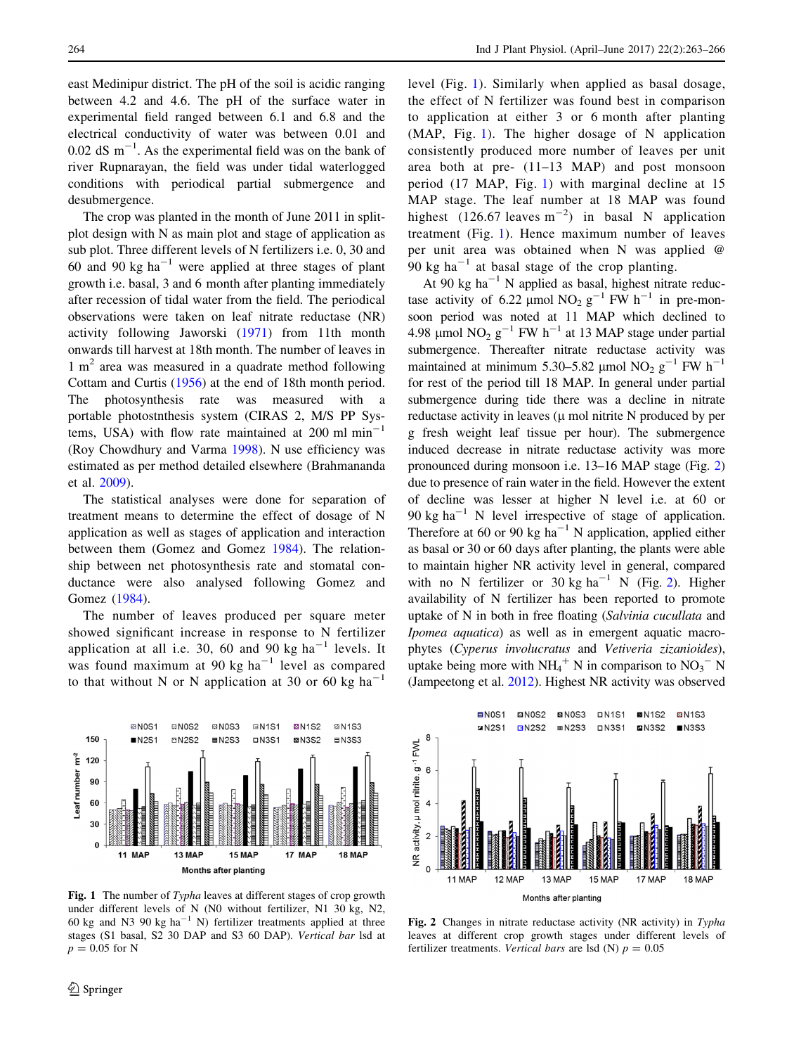<span id="page-1-0"></span>east Medinipur district. The pH of the soil is acidic ranging between 4.2 and 4.6. The pH of the surface water in experimental field ranged between 6.1 and 6.8 and the electrical conductivity of water was between 0.01 and  $0.02$  dS m<sup>-1</sup>. As the experimental field was on the bank of river Rupnarayan, the field was under tidal waterlogged conditions with periodical partial submergence and desubmergence.

The crop was planted in the month of June 2011 in splitplot design with N as main plot and stage of application as sub plot. Three different levels of N fertilizers i.e. 0, 30 and 60 and 90 kg  $ha^{-1}$  were applied at three stages of plant growth i.e. basal, 3 and 6 month after planting immediately after recession of tidal water from the field. The periodical observations were taken on leaf nitrate reductase (NR) activity following Jaworski ([1971\)](#page-3-0) from 11th month onwards till harvest at 18th month. The number of leaves in  $1 \text{ m}^2$  area was measured in a quadrate method following Cottam and Curtis ([1956\)](#page-3-0) at the end of 18th month period. The photosynthesis rate was measured with a portable photostnthesis system (CIRAS 2, M/S PP Systems, USA) with flow rate maintained at  $200 \text{ ml min}^{-1}$ (Roy Chowdhury and Varma [1998\)](#page-3-0). N use efficiency was estimated as per method detailed elsewhere (Brahmananda et al. [2009\)](#page-3-0).

The statistical analyses were done for separation of treatment means to determine the effect of dosage of N application as well as stages of application and interaction between them (Gomez and Gomez [1984](#page-3-0)). The relationship between net photosynthesis rate and stomatal conductance were also analysed following Gomez and Gomez [\(1984](#page-3-0)).

The number of leaves produced per square meter showed significant increase in response to N fertilizer application at all i.e. 30, 60 and 90 kg  $ha^{-1}$  levels. It was found maximum at 90 kg  $ha^{-1}$  level as compared to that without N or N application at 30 or 60 kg ha<sup>-1</sup>



Fig. 1 The number of Typha leaves at different stages of crop growth under different levels of N (N0 without fertilizer, N1 30 kg, N2, 60 kg and N3 90 kg ha<sup>-1</sup> N) fertilizer treatments applied at three stages (S1 basal, S2 30 DAP and S3 60 DAP). Vertical bar lsd at  $p = 0.05$  for N

level (Fig. 1). Similarly when applied as basal dosage, the effect of N fertilizer was found best in comparison to application at either 3 or 6 month after planting (MAP, Fig. 1). The higher dosage of N application consistently produced more number of leaves per unit area both at pre- (11–13 MAP) and post monsoon period (17 MAP, Fig. 1) with marginal decline at 15 MAP stage. The leaf number at 18 MAP was found highest  $(126.67 \text{ leaves } m^{-2})$  in basal N application treatment (Fig. 1). Hence maximum number of leaves per unit area was obtained when N was applied @ 90 kg ha<sup> $-1$ </sup> at basal stage of the crop planting.

At 90 kg ha<sup>-1</sup> N applied as basal, highest nitrate reductase activity of 6.22 µmol NO<sub>2</sub> g<sup>-1</sup> FW h<sup>-1</sup> in pre-monsoon period was noted at 11 MAP which declined to 4.98 µmol  $NO<sub>2</sub> g<sup>-1</sup> FW h<sup>-1</sup>$  at 13 MAP stage under partial submergence. Thereafter nitrate reductase activity was maintained at minimum 5.30–5.82 µmol NO<sub>2</sub> g<sup>-1</sup> FW h<sup>-1</sup> for rest of the period till 18 MAP. In general under partial submergence during tide there was a decline in nitrate reductase activity in leaves  $(\mu \text{ mol nitrite N produced by per}$ g fresh weight leaf tissue per hour). The submergence induced decrease in nitrate reductase activity was more pronounced during monsoon i.e. 13–16 MAP stage (Fig. 2) due to presence of rain water in the field. However the extent of decline was lesser at higher N level i.e. at 60 or 90 kg ha<sup>-1</sup> N level irrespective of stage of application. Therefore at 60 or 90 kg ha<sup>-1</sup> N application, applied either as basal or 30 or 60 days after planting, the plants were able to maintain higher NR activity level in general, compared with no N fertilizer or 30 kg  $ha^{-1}$  N (Fig. 2). Higher availability of N fertilizer has been reported to promote uptake of N in both in free floating (Salvinia cucullata and Ipomea aquatica) as well as in emergent aquatic macrophytes (Cyperus involucratus and Vetiveria zizanioides), uptake being more with  $NH_4^+$  N in comparison to  $NO_3^-$  N (Jampeetong et al. [2012\)](#page-3-0). Highest NR activity was observed



Fig. 2 Changes in nitrate reductase activity (NR activity) in Typha leaves at different crop growth stages under different levels of fertilizer treatments. Vertical bars are lsd (N)  $p = 0.05$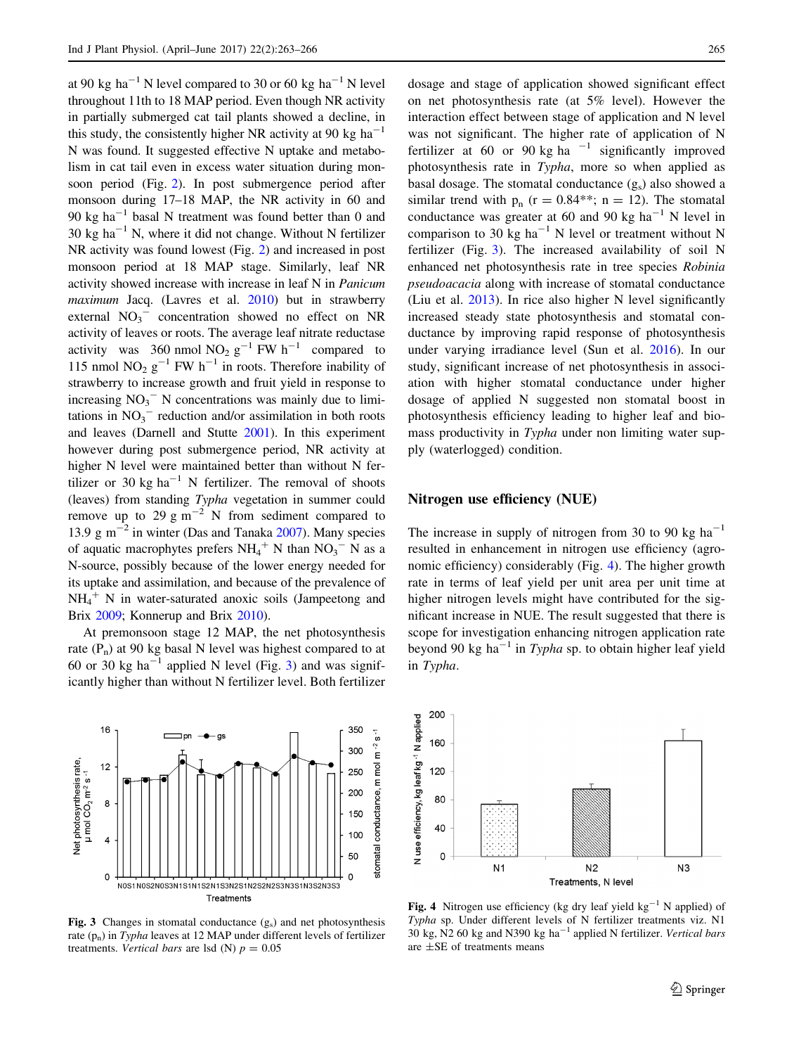at 90 kg ha<sup>-1</sup> N level compared to 30 or 60 kg ha<sup>-1</sup> N level throughout 11th to 18 MAP period. Even though NR activity in partially submerged cat tail plants showed a decline, in this study, the consistently higher NR activity at 90 kg ha<sup>-1</sup> N was found. It suggested effective N uptake and metabolism in cat tail even in excess water situation during monsoon period (Fig. [2\)](#page-1-0). In post submergence period after monsoon during 17–18 MAP, the NR activity in 60 and 90 kg ha<sup>-1</sup> basal N treatment was found better than 0 and 30 kg ha<sup> $-1$ </sup> N, where it did not change. Without N fertilizer NR activity was found lowest (Fig. [2](#page-1-0)) and increased in post monsoon period at 18 MAP stage. Similarly, leaf NR activity showed increase with increase in leaf N in Panicum maximum Jacq. (Lavres et al. [2010\)](#page-3-0) but in strawberry external  $NO_3^-$  concentration showed no effect on NR activity of leaves or roots. The average leaf nitrate reductase activity was 360 nmol  $NO_2$   $g^{-1}$  FW  $h^{-1}$  compared to 115 nmol NO<sub>2</sub>  $g^{-1}$  FW h<sup>-1</sup> in roots. Therefore inability of strawberry to increase growth and fruit yield in response to increasing  $NO_3^-$  N concentrations was mainly due to limitations in  $NO<sub>3</sub><sup>-</sup>$  reduction and/or assimilation in both roots and leaves (Darnell and Stutte [2001\)](#page-3-0). In this experiment however during post submergence period, NR activity at higher N level were maintained better than without N fertilizer or 30 kg ha<sup>-1</sup> N fertilizer. The removal of shoots (leaves) from standing Typha vegetation in summer could remove up to 29 g  $\text{m}^{-2}$  N from sediment compared to 13.9  $\text{g m}^{-2}$  in winter (Das and Tanaka [2007\)](#page-3-0). Many species of aquatic macrophytes prefers  $NH_4^+$  N than  $NO_3^-$  N as a N-source, possibly because of the lower energy needed for its uptake and assimilation, and because of the prevalence of  $NH_4^+$  N in water-saturated anoxic soils (Jampeetong and Brix [2009](#page-3-0); Konnerup and Brix [2010\)](#page-3-0).

At premonsoon stage 12 MAP, the net photosynthesis rate  $(P_n)$  at 90 kg basal N level was highest compared to at 60 or 30 kg ha<sup>-1</sup> applied N level (Fig. 3) and was significantly higher than without N fertilizer level. Both fertilizer



Fig. 3 Changes in stomatal conductance (gs) and net photosynthesis rate  $(p_n)$  in Typha leaves at 12 MAP under different levels of fertilizer treatments. Vertical bars are lsd (N)  $p = 0.05$ 

dosage and stage of application showed significant effect on net photosynthesis rate (at 5% level). However the interaction effect between stage of application and N level was not significant. The higher rate of application of N fertilizer at 60 or 90 kg ha<sup> $-1$ </sup> significantly improved photosynthesis rate in Typha, more so when applied as basal dosage. The stomatal conductance  $(g_s)$  also showed a similar trend with  $p_n$  (r = 0.84\*\*; n = 12). The stomatal conductance was greater at 60 and 90 kg ha<sup>-1</sup> N level in comparison to 30 kg ha<sup>-1</sup> N level or treatment without N fertilizer (Fig. 3). The increased availability of soil N enhanced net photosynthesis rate in tree species Robinia pseudoacacia along with increase of stomatal conductance (Liu et al. [2013](#page-3-0)). In rice also higher N level significantly increased steady state photosynthesis and stomatal conductance by improving rapid response of photosynthesis under varying irradiance level (Sun et al. [2016\)](#page-3-0). In our study, significant increase of net photosynthesis in association with higher stomatal conductance under higher dosage of applied N suggested non stomatal boost in photosynthesis efficiency leading to higher leaf and biomass productivity in Typha under non limiting water supply (waterlogged) condition.

## Nitrogen use efficiency (NUE)

The increase in supply of nitrogen from 30 to 90 kg  $ha^{-1}$ resulted in enhancement in nitrogen use efficiency (agronomic efficiency) considerably (Fig. 4). The higher growth rate in terms of leaf yield per unit area per unit time at higher nitrogen levels might have contributed for the significant increase in NUE. The result suggested that there is scope for investigation enhancing nitrogen application rate beyond 90 kg ha<sup>-1</sup> in Typha sp. to obtain higher leaf yield in Typha.



Fig. 4 Nitrogen use efficiency (kg dry leaf yield  $kg^{-1}$  N applied) of Typha sp. Under different levels of N fertilizer treatments viz. N1  $30 \text{ kg}$ , N2 60 kg and N390 kg ha<sup>-1</sup> applied N fertilizer. Vertical bars are ±SE of treatments means